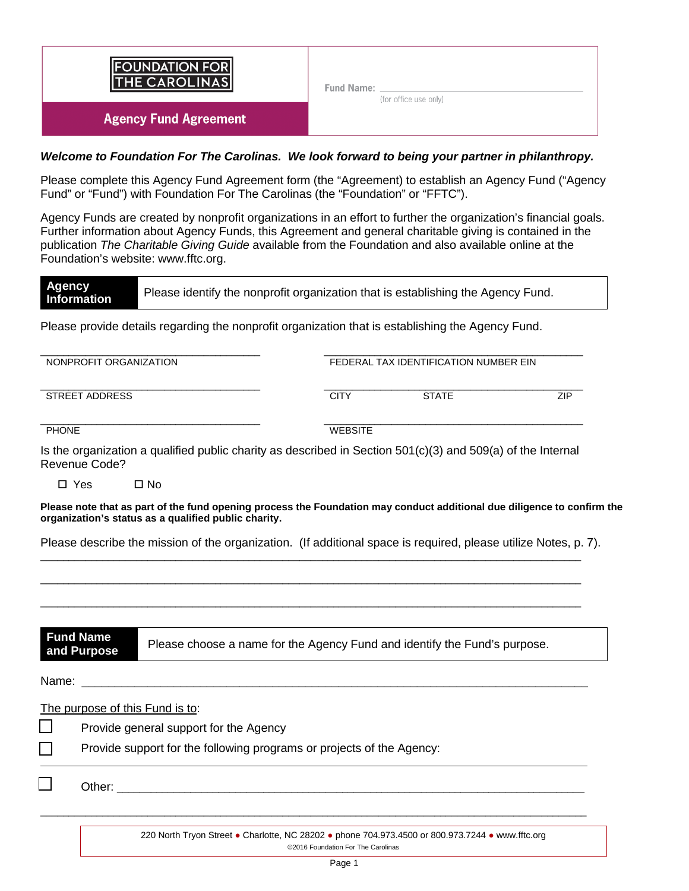

#### *Welcome to Foundation For The Carolinas. We look forward to being your partner in philanthropy.*

Please complete this Agency Fund Agreement form (the "Agreement) to establish an Agency Fund ("Agency Fund" or "Fund") with Foundation For The Carolinas (the "Foundation" or "FFTC").

Agency Funds are created by nonprofit organizations in an effort to further the organization's financial goals. Further information about Agency Funds, this Agreement and general charitable giving is contained in the publication *The Charitable Giving Guide* available from the Foundation and also available online at the Foundation's website: www.fftc.org.

**Agency**  Please identify the nonprofit organization that is establishing the Agency Fund.

Please provide details regarding the nonprofit organization that is establishing the Agency Fund.

\_\_\_\_\_\_\_\_\_\_\_\_\_\_\_\_\_\_\_\_\_\_\_\_\_\_\_\_\_\_\_\_\_\_\_\_\_\_\_ \_\_\_\_\_\_\_\_\_\_\_\_\_\_\_\_\_\_\_\_\_\_\_\_\_\_\_\_\_\_\_\_\_\_\_\_\_\_\_\_\_\_\_\_\_\_

\_\_\_\_\_\_\_\_\_\_\_\_\_\_\_\_\_\_\_\_\_\_\_\_\_\_\_\_\_\_\_\_\_\_\_\_\_\_\_ \_\_\_\_\_\_\_\_\_\_\_\_\_\_\_\_\_\_\_\_\_\_\_\_\_\_\_\_\_\_\_\_\_\_\_\_\_\_\_\_\_\_\_\_\_\_ STREET ADDRESS CITY STATE ZIP

NONPROFIT ORGANIZATION FEDERAL TAX IDENTIFICATION NUMBER EIN

\_\_\_\_\_\_\_\_\_\_\_\_\_\_\_\_\_\_\_\_\_\_\_\_\_\_\_\_\_\_\_\_\_\_\_\_\_\_\_ \_\_\_\_\_\_\_\_\_\_\_\_\_\_\_\_\_\_\_\_\_\_\_\_\_\_\_\_\_\_\_\_\_\_\_\_\_\_\_\_\_\_\_\_\_\_

PHONE WEBSITE

Is the organization a qualified public charity as described in Section 501(c)(3) and 509(a) of the Internal Revenue Code?

□ Yes □ No

**Please note that as part of the fund opening process the Foundation may conduct additional due diligence to confirm the organization's status as a qualified public charity.** 

Please describe the mission of the organization. (If additional space is required, please utilize Notes, p. 7).

 $\_$  ,  $\_$  ,  $\_$  ,  $\_$  ,  $\_$  ,  $\_$  ,  $\_$  ,  $\_$  ,  $\_$  ,  $\_$  ,  $\_$  ,  $\_$  ,  $\_$  ,  $\_$  ,  $\_$  ,  $\_$  ,  $\_$  ,  $\_$  ,  $\_$  ,  $\_$  ,  $\_$  ,  $\_$  ,  $\_$  ,  $\_$  ,  $\_$  ,  $\_$  ,  $\_$  ,  $\_$  ,  $\_$  ,  $\_$  ,  $\_$  ,  $\_$  ,  $\_$  ,  $\_$  ,  $\_$  ,  $\_$  ,  $\_$  ,

 $\overline{\phantom{a}}$  ,  $\overline{\phantom{a}}$  ,  $\overline{\phantom{a}}$  ,  $\overline{\phantom{a}}$  ,  $\overline{\phantom{a}}$  ,  $\overline{\phantom{a}}$  ,  $\overline{\phantom{a}}$  ,  $\overline{\phantom{a}}$  ,  $\overline{\phantom{a}}$  ,  $\overline{\phantom{a}}$  ,  $\overline{\phantom{a}}$  ,  $\overline{\phantom{a}}$  ,  $\overline{\phantom{a}}$  ,  $\overline{\phantom{a}}$  ,  $\overline{\phantom{a}}$  ,  $\overline{\phantom{a}}$ 

 $\overline{\phantom{a}}$  ,  $\overline{\phantom{a}}$  ,  $\overline{\phantom{a}}$  ,  $\overline{\phantom{a}}$  ,  $\overline{\phantom{a}}$  ,  $\overline{\phantom{a}}$  ,  $\overline{\phantom{a}}$  ,  $\overline{\phantom{a}}$  ,  $\overline{\phantom{a}}$  ,  $\overline{\phantom{a}}$  ,  $\overline{\phantom{a}}$  ,  $\overline{\phantom{a}}$  ,  $\overline{\phantom{a}}$  ,  $\overline{\phantom{a}}$  ,  $\overline{\phantom{a}}$  ,  $\overline{\phantom{a}}$ 

| <b>Fund Name</b><br>and Purpose | Please choose a name for the Agency Fund and identify the Fund's purpose. |
|---------------------------------|---------------------------------------------------------------------------|
| Name:                           |                                                                           |

 $\overline{\phantom{a}}$  , and the contribution of the contribution of the contribution of the contribution of the contribution of the contribution of the contribution of the contribution of the contribution of the contribution of the

The purpose of this Fund is to:

Provide general support for the Agency

Provide support for the following programs or projects of the Agency:

□ Other: \_\_\_\_\_\_\_\_\_\_\_\_\_\_\_\_\_\_\_\_\_\_\_\_\_\_\_\_\_\_\_\_\_\_\_\_\_\_\_\_\_\_\_\_\_\_\_\_\_\_\_\_\_\_\_\_\_\_\_\_\_\_\_\_\_\_\_\_\_\_\_\_\_\_\_\_\_\_\_\_\_\_\_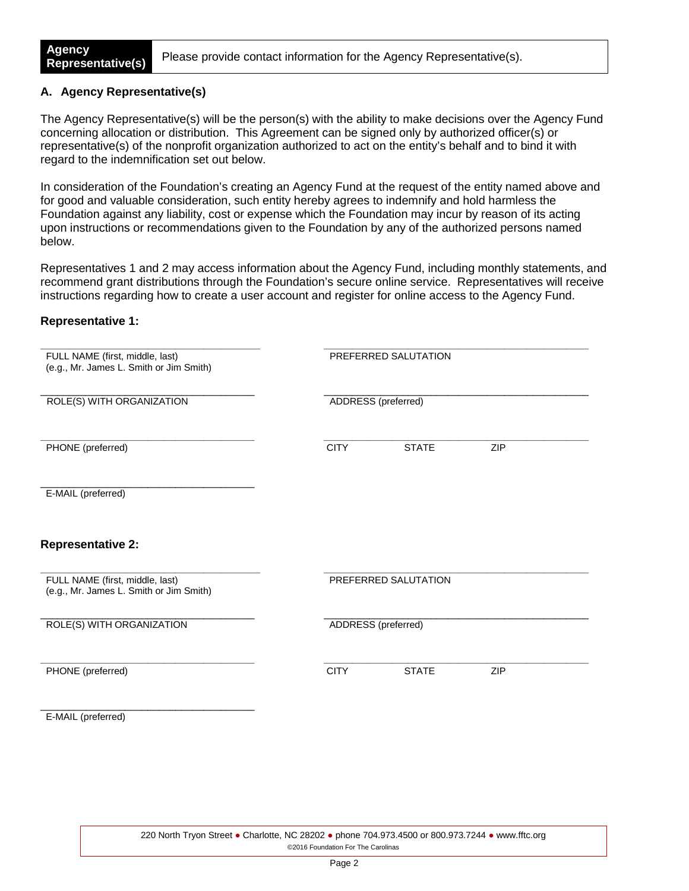Please provide contact information for the Agency Representative(s).

#### **A. Agency Representative(s)**

The Agency Representative(s) will be the person(s) with the ability to make decisions over the Agency Fund concerning allocation or distribution. This Agreement can be signed only by authorized officer(s) or representative(s) of the nonprofit organization authorized to act on the entity's behalf and to bind it with regard to the indemnification set out below.

In consideration of the Foundation's creating an Agency Fund at the request of the entity named above and for good and valuable consideration, such entity hereby agrees to indemnify and hold harmless the Foundation against any liability, cost or expense which the Foundation may incur by reason of its acting upon instructions or recommendations given to the Foundation by any of the authorized persons named below.

Representatives 1 and 2 may access information about the Agency Fund, including monthly statements, and recommend grant distributions through the Foundation's secure online service. Representatives will receive instructions regarding how to create a user account and register for online access to the Agency Fund.

#### **Representative 1:**

| FULL NAME (first, middle, last)<br>(e.g., Mr. James L. Smith or Jim Smith) |                     | PREFERRED SALUTATION |            |  |
|----------------------------------------------------------------------------|---------------------|----------------------|------------|--|
| ROLE(S) WITH ORGANIZATION                                                  | ADDRESS (preferred) |                      |            |  |
| PHONE (preferred)                                                          | <b>CITY</b>         | <b>STATE</b>         | <b>ZIP</b> |  |
| E-MAIL (preferred)                                                         |                     |                      |            |  |
| <b>Representative 2:</b>                                                   |                     |                      |            |  |
| FULL NAME (first, middle, last)<br>(e.g., Mr. James L. Smith or Jim Smith) |                     | PREFERRED SALUTATION |            |  |
| ROLE(S) WITH ORGANIZATION                                                  | ADDRESS (preferred) |                      |            |  |
| PHONE (preferred)                                                          | <b>CITY</b>         | <b>STATE</b>         | <b>ZIP</b> |  |
| E-MAIL (preferred)                                                         |                     |                      |            |  |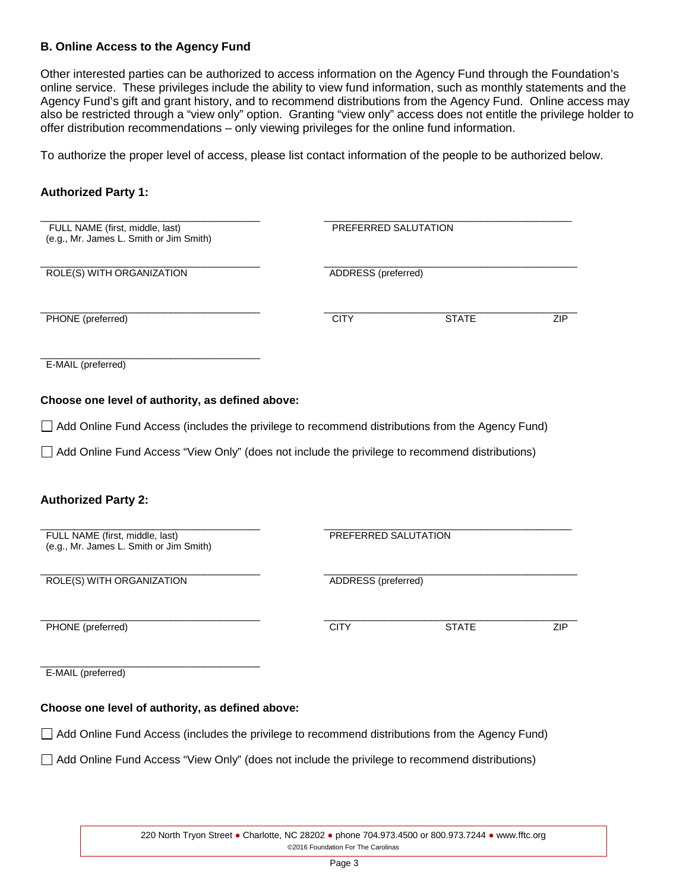#### **B. Online Access to the Agency Fund**

Other interested parties can be authorized to access information on the Agency Fund through the Foundation's online service. These privileges include the ability to view fund information, such as monthly statements and the Agency Fund's gift and grant history, and to recommend distributions from the Agency Fund. Online access may also be restricted through a "view only" option. Granting "view only" access does not entitle the privilege holder to offer distribution recommendations – only viewing privileges for the online fund information.

To authorize the proper level of access, please list contact information of the people to be authorized below.

#### **Authorized Party 1:**

| FULL NAME (first, middle, last)<br>(e.g., Mr. James L. Smith or Jim Smith) | PREFERRED SALUTATION                                                                            |            |  |  |
|----------------------------------------------------------------------------|-------------------------------------------------------------------------------------------------|------------|--|--|
| ROLE(S) WITH ORGANIZATION                                                  | ADDRESS (preferred)                                                                             |            |  |  |
| PHONE (preferred)                                                          | <b>CITY</b><br><b>STATE</b>                                                                     | <b>ZIP</b> |  |  |
| E-MAIL (preferred)                                                         |                                                                                                 |            |  |  |
| Choose one level of authority, as defined above:                           |                                                                                                 |            |  |  |
|                                                                            | Add Online Fund Access (includes the privilege to recommend distributions from the Agency Fund) |            |  |  |
|                                                                            | Add Online Fund Access "View Only" (does not include the privilege to recommend distributions)  |            |  |  |
| <b>Authorized Party 2:</b>                                                 |                                                                                                 |            |  |  |
| FULL NAME (first, middle, last)<br>(e.g., Mr. James L. Smith or Jim Smith) | PREFERRED SALUTATION                                                                            |            |  |  |
| ROLE(S) WITH ORGANIZATION                                                  | ADDRESS (preferred)                                                                             |            |  |  |
| PHONE (preferred)                                                          | <b>CITY</b><br><b>STATE</b>                                                                     | ZIP        |  |  |
| E-MAIL (preferred)                                                         |                                                                                                 |            |  |  |
| Choose one level of authority, as defined above:                           |                                                                                                 |            |  |  |

Add Online Fund Access (includes the privilege to recommend distributions from the Agency Fund)

Add Online Fund Access "View Only" (does not include the privilege to recommend distributions)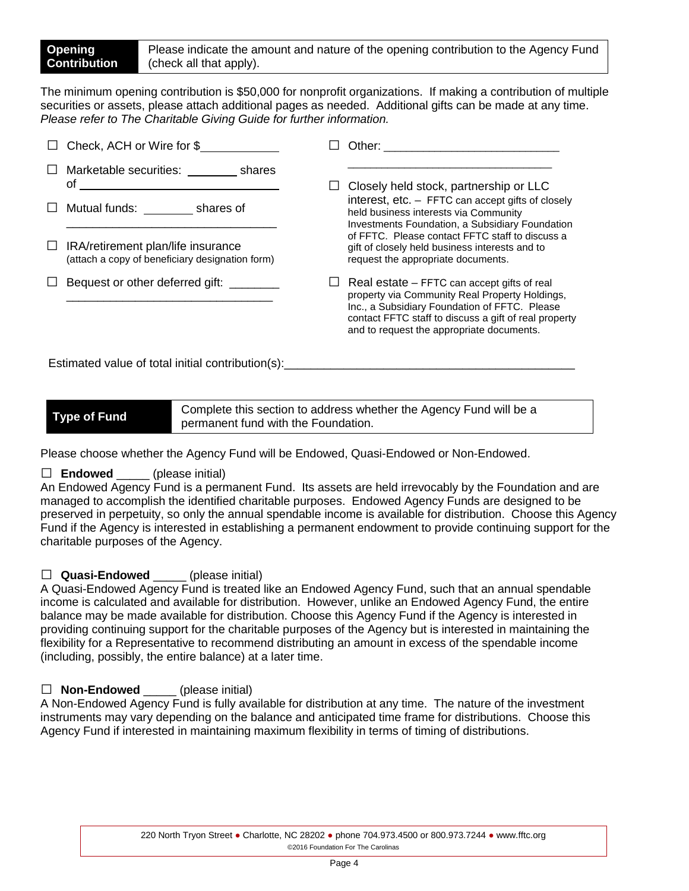The minimum opening contribution is \$50,000 for nonprofit organizations. If making a contribution of multiple securities or assets, please attach additional pages as needed. Additional gifts can be made at any time. *Please refer to The Charitable Giving Guide for further information.*

| Check, ACH or Wire for \$                                                             | Other: the contract of the contract of the contract of the contract of the contract of the contract of the contract of the contract of the contract of the contract of the contract of the contract of the contract of the con                       |
|---------------------------------------------------------------------------------------|------------------------------------------------------------------------------------------------------------------------------------------------------------------------------------------------------------------------------------------------------|
| Marketable securities: shares<br>οf                                                   | Closely held stock, partnership or LLC                                                                                                                                                                                                               |
| Mutual funds: shares of                                                               | interest, $etc. -$ FFTC can accept gifts of closely<br>held business interests via Community<br>Investments Foundation, a Subsidiary Foundation                                                                                                      |
| IRA/retirement plan/life insurance<br>(attach a copy of beneficiary designation form) | of FFTC. Please contact FFTC staff to discuss a<br>gift of closely held business interests and to<br>request the appropriate documents.                                                                                                              |
| Bequest or other deferred gift:                                                       | Real estate – FFTC can accept gifts of real<br>property via Community Real Property Holdings,<br>Inc., a Subsidiary Foundation of FFTC. Please<br>contact FFTC staff to discuss a gift of real property<br>and to request the appropriate documents. |

Estimated value of total initial contribution(s):

**Type of Fund** Complete this section to address whether the Agency Fund will be a permanent fund with the Foundation.

Please choose whether the Agency Fund will be Endowed, Quasi-Endowed or Non-Endowed.

### $\Box$  **Endowed** (please initial)

An Endowed Agency Fund is a permanent Fund. Its assets are held irrevocably by the Foundation and are managed to accomplish the identified charitable purposes. Endowed Agency Funds are designed to be preserved in perpetuity, so only the annual spendable income is available for distribution. Choose this Agency Fund if the Agency is interested in establishing a permanent endowment to provide continuing support for the charitable purposes of the Agency.

# □ **Quasi-Endowed** \_\_\_\_\_ (please initial)

A Quasi-Endowed Agency Fund is treated like an Endowed Agency Fund, such that an annual spendable income is calculated and available for distribution. However, unlike an Endowed Agency Fund, the entire balance may be made available for distribution. Choose this Agency Fund if the Agency is interested in providing continuing support for the charitable purposes of the Agency but is interested in maintaining the flexibility for a Representative to recommend distributing an amount in excess of the spendable income (including, possibly, the entire balance) at a later time.

# □ **Non-Endowed** (please initial)

A Non-Endowed Agency Fund is fully available for distribution at any time. The nature of the investment instruments may vary depending on the balance and anticipated time frame for distributions. Choose this Agency Fund if interested in maintaining maximum flexibility in terms of timing of distributions.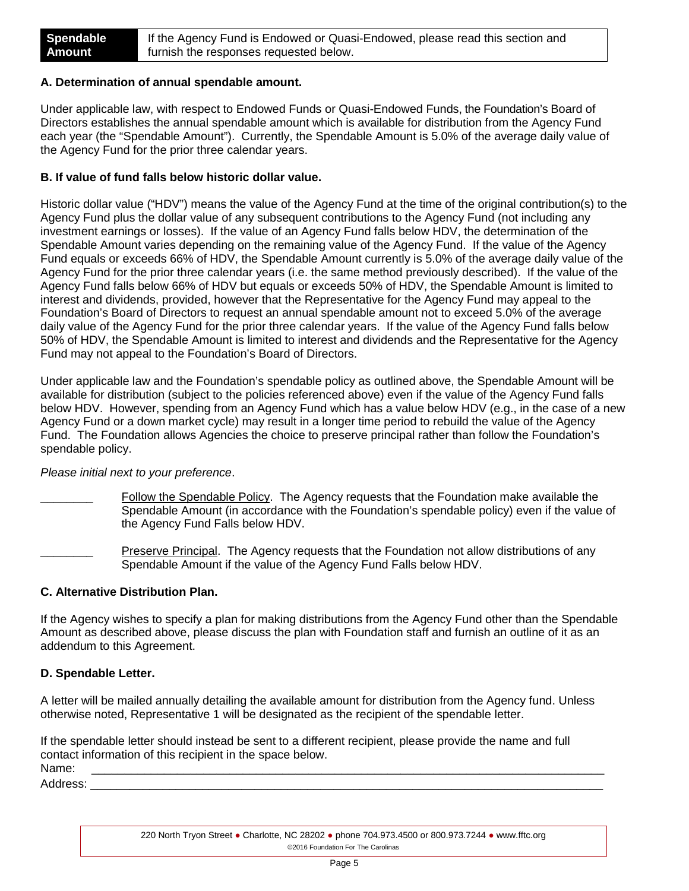#### **A. Determination of annual spendable amount.**

Under applicable law, with respect to Endowed Funds or Quasi-Endowed Funds, the Foundation's Board of Directors establishes the annual spendable amount which is available for distribution from the Agency Fund each year (the "Spendable Amount"). Currently, the Spendable Amount is 5.0% of the average daily value of the Agency Fund for the prior three calendar years.

#### **B. If value of fund falls below historic dollar value.**

Historic dollar value ("HDV") means the value of the Agency Fund at the time of the original contribution(s) to the Agency Fund plus the dollar value of any subsequent contributions to the Agency Fund (not including any investment earnings or losses). If the value of an Agency Fund falls below HDV, the determination of the Spendable Amount varies depending on the remaining value of the Agency Fund. If the value of the Agency Fund equals or exceeds 66% of HDV, the Spendable Amount currently is 5.0% of the average daily value of the Agency Fund for the prior three calendar years (i.e. the same method previously described). If the value of the Agency Fund falls below 66% of HDV but equals or exceeds 50% of HDV, the Spendable Amount is limited to interest and dividends, provided, however that the Representative for the Agency Fund may appeal to the Foundation's Board of Directors to request an annual spendable amount not to exceed 5.0% of the average daily value of the Agency Fund for the prior three calendar years. If the value of the Agency Fund falls below 50% of HDV, the Spendable Amount is limited to interest and dividends and the Representative for the Agency Fund may not appeal to the Foundation's Board of Directors.

Under applicable law and the Foundation's spendable policy as outlined above, the Spendable Amount will be available for distribution (subject to the policies referenced above) even if the value of the Agency Fund falls below HDV. However, spending from an Agency Fund which has a value below HDV (e.g., in the case of a new Agency Fund or a down market cycle) may result in a longer time period to rebuild the value of the Agency Fund. The Foundation allows Agencies the choice to preserve principal rather than follow the Foundation's spendable policy.

#### *Please initial next to your preference*.

Follow the Spendable Policy. The Agency requests that the Foundation make available the Spendable Amount (in accordance with the Foundation's spendable policy) even if the value of the Agency Fund Falls below HDV.

Preserve Principal. The Agency requests that the Foundation not allow distributions of any Spendable Amount if the value of the Agency Fund Falls below HDV.

#### **C. Alternative Distribution Plan.**

If the Agency wishes to specify a plan for making distributions from the Agency Fund other than the Spendable Amount as described above, please discuss the plan with Foundation staff and furnish an outline of it as an addendum to this Agreement.

#### **D. Spendable Letter.**

A letter will be mailed annually detailing the available amount for distribution from the Agency fund. Unless otherwise noted, Representative 1 will be designated as the recipient of the spendable letter.

If the spendable letter should instead be sent to a different recipient, please provide the name and full contact information of this recipient in the space below. Name: \_\_\_\_\_\_\_\_\_\_\_\_\_\_\_\_\_\_\_\_\_\_\_\_\_\_\_\_\_\_\_\_\_\_\_\_\_\_\_\_\_\_\_\_\_\_\_\_\_\_\_\_\_\_\_\_\_\_\_\_\_\_\_\_\_\_\_\_\_\_\_\_\_\_\_\_\_\_

Address: \_\_\_\_\_\_\_\_\_\_\_\_\_\_\_\_\_\_\_\_\_\_\_\_\_\_\_\_\_\_\_\_\_\_\_\_\_\_\_\_\_\_\_\_\_\_\_\_\_\_\_\_\_\_\_\_\_\_\_\_\_\_\_\_\_\_\_\_\_\_\_\_\_\_\_\_\_\_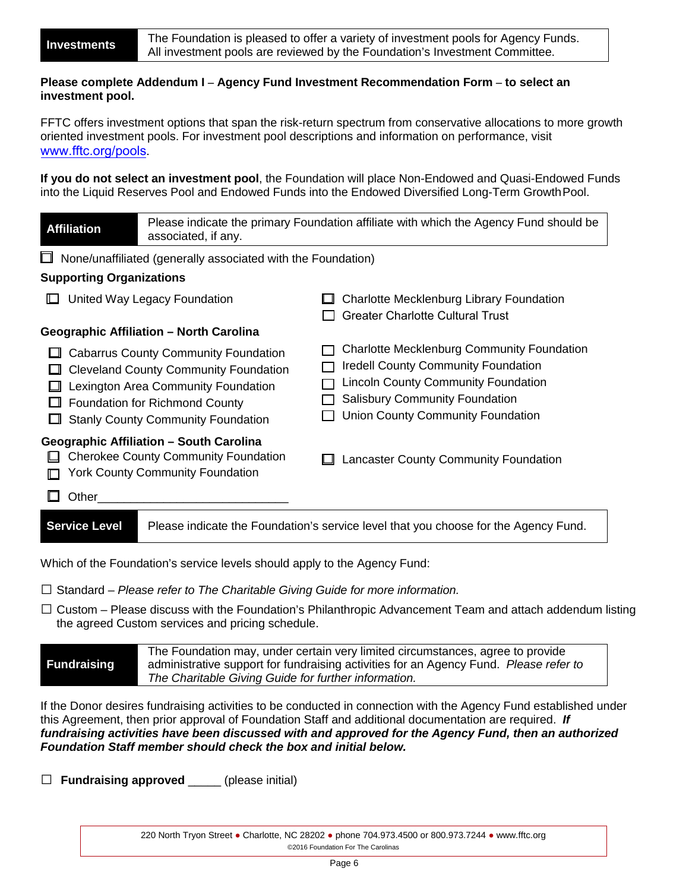#### **Please complete Addendum I – Agency Fund Investment Recommendation Form – to select an investment pool.**

FFTC offers investment options that span the risk-return spectrum from conservative allocations to more growth oriented investment pools. For investment pool descriptions and information on performance, visit [www.fftc.org/pools](http://www.fftc.org/pools).

**If you do not select an investment pool**, the Foundation will place Non-Endowed and Quasi-Endowed Funds into the Liquid Reserves Pool and Endowed Funds into the Endowed Diversified Long-Term GrowthPool.

| <b>Affiliation</b>                                                                                                                                                                                                       | Please indicate the primary Foundation affiliate with which the Agency Fund should be<br>associated, if any. |                                                                                                                                                                                                                             |  |  |
|--------------------------------------------------------------------------------------------------------------------------------------------------------------------------------------------------------------------------|--------------------------------------------------------------------------------------------------------------|-----------------------------------------------------------------------------------------------------------------------------------------------------------------------------------------------------------------------------|--|--|
| None/unaffiliated (generally associated with the Foundation)<br>ப                                                                                                                                                        |                                                                                                              |                                                                                                                                                                                                                             |  |  |
| <b>Supporting Organizations</b>                                                                                                                                                                                          |                                                                                                              |                                                                                                                                                                                                                             |  |  |
| United Way Legacy Foundation<br>╙                                                                                                                                                                                        |                                                                                                              | Charlotte Mecklenburg Library Foundation<br><b>Greater Charlotte Cultural Trust</b>                                                                                                                                         |  |  |
| Geographic Affiliation - North Carolina                                                                                                                                                                                  |                                                                                                              |                                                                                                                                                                                                                             |  |  |
| <b>Cabarrus County Community Foundation</b><br><b>Cleveland County Community Foundation</b><br>Lexington Area Community Foundation<br><b>Foundation for Richmond County</b><br><b>Stanly County Community Foundation</b> |                                                                                                              | <b>Charlotte Mecklenburg Community Foundation</b><br><b>Iredell County Community Foundation</b><br><b>Lincoln County Community Foundation</b><br><b>Salisbury Community Foundation</b><br>Union County Community Foundation |  |  |
| <b>Geographic Affiliation - South Carolina</b><br><b>Cherokee County Community Foundation</b><br><b>York County Community Foundation</b><br>Ш.                                                                           |                                                                                                              | Lancaster County Community Foundation                                                                                                                                                                                       |  |  |
| Other                                                                                                                                                                                                                    |                                                                                                              |                                                                                                                                                                                                                             |  |  |
| <b>Service Level</b>                                                                                                                                                                                                     | Please indicate the Foundation's service level that you choose for the Agency Fund.                          |                                                                                                                                                                                                                             |  |  |
| Which of the Foundation's service levels should apply to the Agency Fund:                                                                                                                                                |                                                                                                              |                                                                                                                                                                                                                             |  |  |

□ Standard – *Please refer to The Charitable Giving Guide for more information.*

 $\Box$  Custom – Please discuss with the Foundation's Philanthropic Advancement Team and attach addendum listing the agreed Custom services and pricing schedule.

#### **Fundraising** The Foundation may, under certain very limited circumstances, agree to provide administrative support for fundraising activities for an Agency Fund. *Please refer to The Charitable Giving Guide for further information.*

If the Donor desires fundraising activities to be conducted in connection with the Agency Fund established under this Agreement, then prior approval of Foundation Staff and additional documentation are required. *If fundraising activities have been discussed with and approved for the Agency Fund, then an authorized Foundation Staff member should check the box and initial below.* 

□ **Fundraising approved** \_\_\_\_\_ (please initial)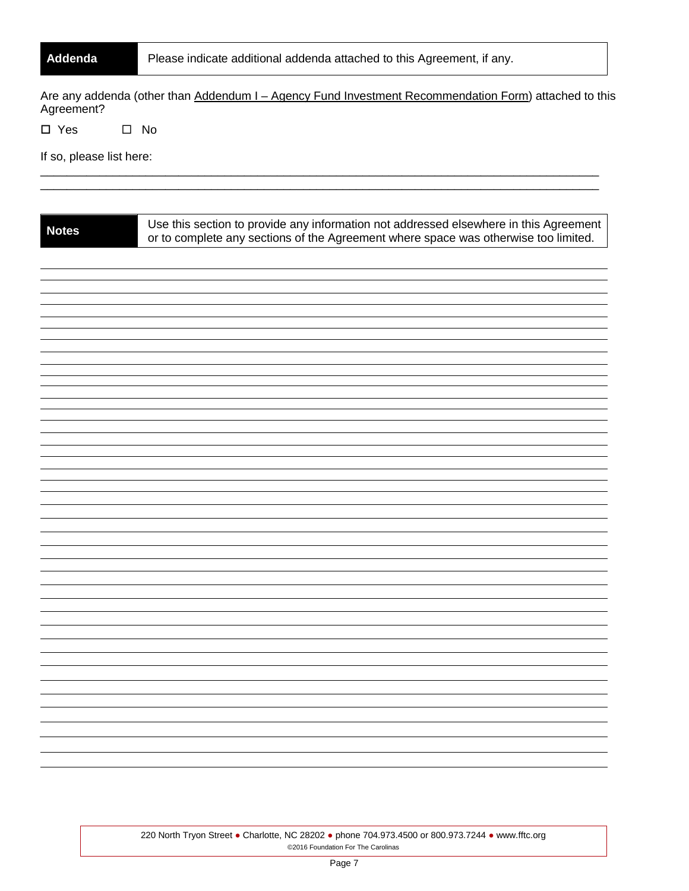| Addenda                                                                                                             | Please indicate additional addenda attached to this Agreement, if any.                                                                                                       |  |  |
|---------------------------------------------------------------------------------------------------------------------|------------------------------------------------------------------------------------------------------------------------------------------------------------------------------|--|--|
| Are any addenda (other than Addendum I - Agency Fund Investment Recommendation Form) attached to this<br>Agreement? |                                                                                                                                                                              |  |  |
| $\square$ Yes                                                                                                       | $\square$ No                                                                                                                                                                 |  |  |
| If so, please list here:                                                                                            |                                                                                                                                                                              |  |  |
|                                                                                                                     |                                                                                                                                                                              |  |  |
|                                                                                                                     |                                                                                                                                                                              |  |  |
| <b>Notes</b>                                                                                                        | Use this section to provide any information not addressed elsewhere in this Agreement<br>or to complete any sections of the Agreement where space was otherwise too limited. |  |  |
|                                                                                                                     |                                                                                                                                                                              |  |  |
|                                                                                                                     |                                                                                                                                                                              |  |  |
|                                                                                                                     |                                                                                                                                                                              |  |  |
|                                                                                                                     |                                                                                                                                                                              |  |  |
|                                                                                                                     |                                                                                                                                                                              |  |  |
|                                                                                                                     |                                                                                                                                                                              |  |  |
|                                                                                                                     |                                                                                                                                                                              |  |  |
|                                                                                                                     |                                                                                                                                                                              |  |  |
|                                                                                                                     |                                                                                                                                                                              |  |  |
|                                                                                                                     |                                                                                                                                                                              |  |  |
|                                                                                                                     |                                                                                                                                                                              |  |  |
|                                                                                                                     |                                                                                                                                                                              |  |  |
|                                                                                                                     |                                                                                                                                                                              |  |  |
|                                                                                                                     |                                                                                                                                                                              |  |  |
|                                                                                                                     |                                                                                                                                                                              |  |  |
|                                                                                                                     |                                                                                                                                                                              |  |  |
|                                                                                                                     |                                                                                                                                                                              |  |  |
|                                                                                                                     |                                                                                                                                                                              |  |  |
|                                                                                                                     |                                                                                                                                                                              |  |  |
|                                                                                                                     |                                                                                                                                                                              |  |  |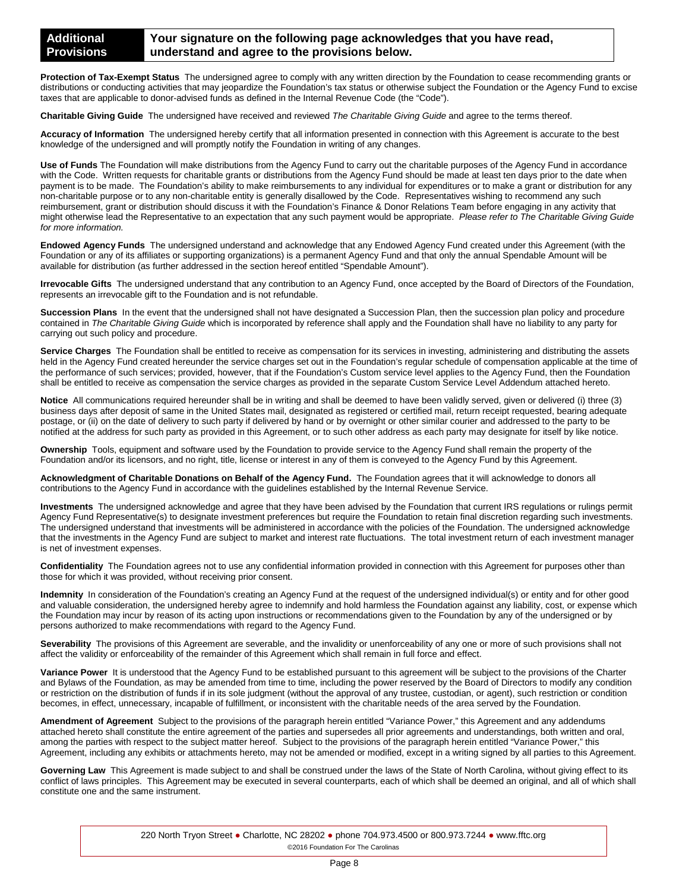#### **Your signature on the following page acknowledges that you have read, understand and agree to the provisions below.**

**Protection of Tax-Exempt Status** The undersigned agree to comply with any written direction by the Foundation to cease recommending grants or distributions or conducting activities that may jeopardize the Foundation's tax status or otherwise subject the Foundation or the Agency Fund to excise taxes that are applicable to donor-advised funds as defined in the Internal Revenue Code (the "Code").

**Charitable Giving Guide** The undersigned have received and reviewed *The Charitable Giving Guide* and agree to the terms thereof.

**Accuracy of Information** The undersigned hereby certify that all information presented in connection with this Agreement is accurate to the best knowledge of the undersigned and will promptly notify the Foundation in writing of any changes.

**Use of Funds** The Foundation will make distributions from the Agency Fund to carry out the charitable purposes of the Agency Fund in accordance with the Code. Written requests for charitable grants or distributions from the Agency Fund should be made at least ten days prior to the date when payment is to be made. The Foundation's ability to make reimbursements to any individual for expenditures or to make a grant or distribution for any non-charitable purpose or to any non-charitable entity is generally disallowed by the Code. Representatives wishing to recommend any such reimbursement, grant or distribution should discuss it with the Foundation's Finance & Donor Relations Team before engaging in any activity that might otherwise lead the Representative to an expectation that any such payment would be appropriate. *Please refer to The Charitable Giving Guide for more information.*

**Endowed Agency Funds** The undersigned understand and acknowledge that any Endowed Agency Fund created under this Agreement (with the Foundation or any of its affiliates or supporting organizations) is a permanent Agency Fund and that only the annual Spendable Amount will be available for distribution (as further addressed in the section hereof entitled "Spendable Amount").

**Irrevocable Gifts** The undersigned understand that any contribution to an Agency Fund, once accepted by the Board of Directors of the Foundation, represents an irrevocable gift to the Foundation and is not refundable.

**Succession Plans** In the event that the undersigned shall not have designated a Succession Plan, then the succession plan policy and procedure contained in *The Charitable Giving Guide* which is incorporated by reference shall apply and the Foundation shall have no liability to any party for carrying out such policy and procedure.

Service Charges The Foundation shall be entitled to receive as compensation for its services in investing, administering and distributing the assets held in the Agency Fund created hereunder the service charges set out in the Foundation's regular schedule of compensation applicable at the time of the performance of such services; provided, however, that if the Foundation's Custom service level applies to the Agency Fund, then the Foundation shall be entitled to receive as compensation the service charges as provided in the separate Custom Service Level Addendum attached hereto.

**Notice** All communications required hereunder shall be in writing and shall be deemed to have been validly served, given or delivered (i) three (3) business days after deposit of same in the United States mail, designated as registered or certified mail, return receipt requested, bearing adequate postage, or (ii) on the date of delivery to such party if delivered by hand or by overnight or other similar courier and addressed to the party to be notified at the address for such party as provided in this Agreement, or to such other address as each party may designate for itself by like notice.

**Ownership** Tools, equipment and software used by the Foundation to provide service to the Agency Fund shall remain the property of the Foundation and/or its licensors, and no right, title, license or interest in any of them is conveyed to the Agency Fund by this Agreement.

**Acknowledgment of Charitable Donations on Behalf of the Agency Fund.** The Foundation agrees that it will acknowledge to donors all contributions to the Agency Fund in accordance with the guidelines established by the Internal Revenue Service.

**Investments** The undersigned acknowledge and agree that they have been advised by the Foundation that current IRS regulations or rulings permit Agency Fund Representative(s) to designate investment preferences but require the Foundation to retain final discretion regarding such investments. The undersigned understand that investments will be administered in accordance with the policies of the Foundation. The undersigned acknowledge that the investments in the Agency Fund are subject to market and interest rate fluctuations. The total investment return of each investment manager is net of investment expenses.

**Confidentiality** The Foundation agrees not to use any confidential information provided in connection with this Agreement for purposes other than those for which it was provided, without receiving prior consent.

**Indemnity** In consideration of the Foundation's creating an Agency Fund at the request of the undersigned individual(s) or entity and for other good and valuable consideration, the undersigned hereby agree to indemnify and hold harmless the Foundation against any liability, cost, or expense which the Foundation may incur by reason of its acting upon instructions or recommendations given to the Foundation by any of the undersigned or by persons authorized to make recommendations with regard to the Agency Fund.

**Severability** The provisions of this Agreement are severable, and the invalidity or unenforceability of any one or more of such provisions shall not affect the validity or enforceability of the remainder of this Agreement which shall remain in full force and effect.

Variance Power It is understood that the Agency Fund to be established pursuant to this agreement will be subject to the provisions of the Charter and Bylaws of the Foundation, as may be amended from time to time, including the power reserved by the Board of Directors to modify any condition or restriction on the distribution of funds if in its sole judgment (without the approval of any trustee, custodian, or agent), such restriction or condition becomes, in effect, unnecessary, incapable of fulfillment, or inconsistent with the charitable needs of the area served by the Foundation.

**Amendment of Agreement** Subject to the provisions of the paragraph herein entitled "Variance Power," this Agreement and any addendums attached hereto shall constitute the entire agreement of the parties and supersedes all prior agreements and understandings, both written and oral, among the parties with respect to the subject matter hereof. Subject to the provisions of the paragraph herein entitled "Variance Power," this Agreement, including any exhibits or attachments hereto, may not be amended or modified, except in a writing signed by all parties to this Agreement.

**Governing Law** This Agreement is made subject to and shall be construed under the laws of the State of North Carolina, without giving effect to its conflict of laws principles. This Agreement may be executed in several counterparts, each of which shall be deemed an original, and all of which shall constitute one and the same instrument.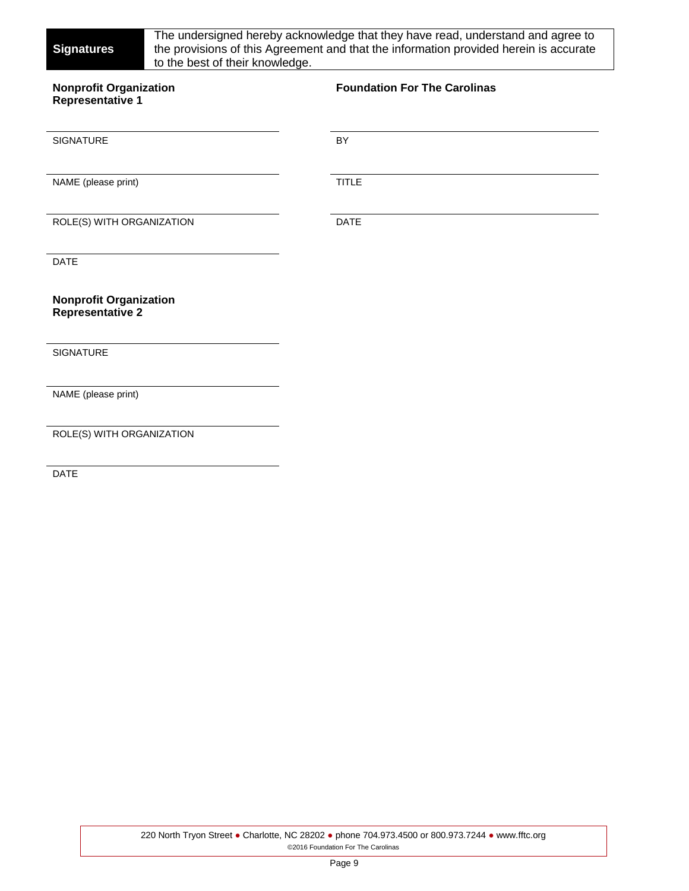| <b>Signatures</b><br>to the best of their knowledge.     | The undersigned hereby acknowledge that they have read, understand and agree to<br>the provisions of this Agreement and that the information provided herein is accurate |
|----------------------------------------------------------|--------------------------------------------------------------------------------------------------------------------------------------------------------------------------|
| <b>Nonprofit Organization</b><br><b>Representative 1</b> | <b>Foundation For The Carolinas</b>                                                                                                                                      |
| <b>SIGNATURE</b>                                         | BY                                                                                                                                                                       |
| NAME (please print)                                      | <b>TITLE</b>                                                                                                                                                             |
| ROLE(S) WITH ORGANIZATION                                | <b>DATE</b>                                                                                                                                                              |
| <b>DATE</b>                                              |                                                                                                                                                                          |
| <b>Nonprofit Organization</b><br>Representative 2        |                                                                                                                                                                          |
| <b>SIGNATURE</b>                                         |                                                                                                                                                                          |
| NAME (please print)                                      |                                                                                                                                                                          |
| ROLE(S) WITH ORGANIZATION                                |                                                                                                                                                                          |
| <b>DATE</b>                                              |                                                                                                                                                                          |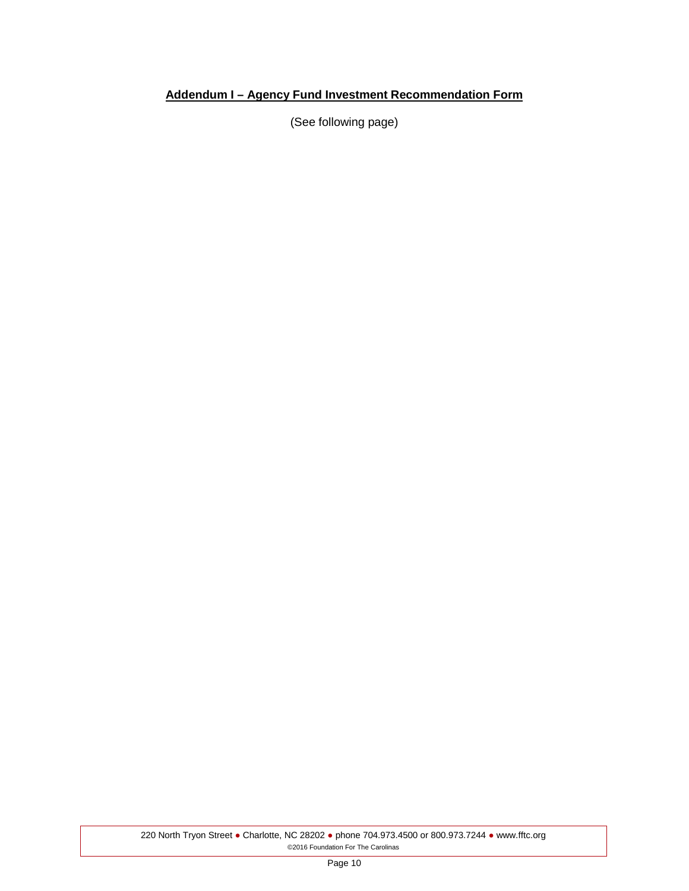# **Addendum I – Agency Fund Investment Recommendation Form**

(See following page)